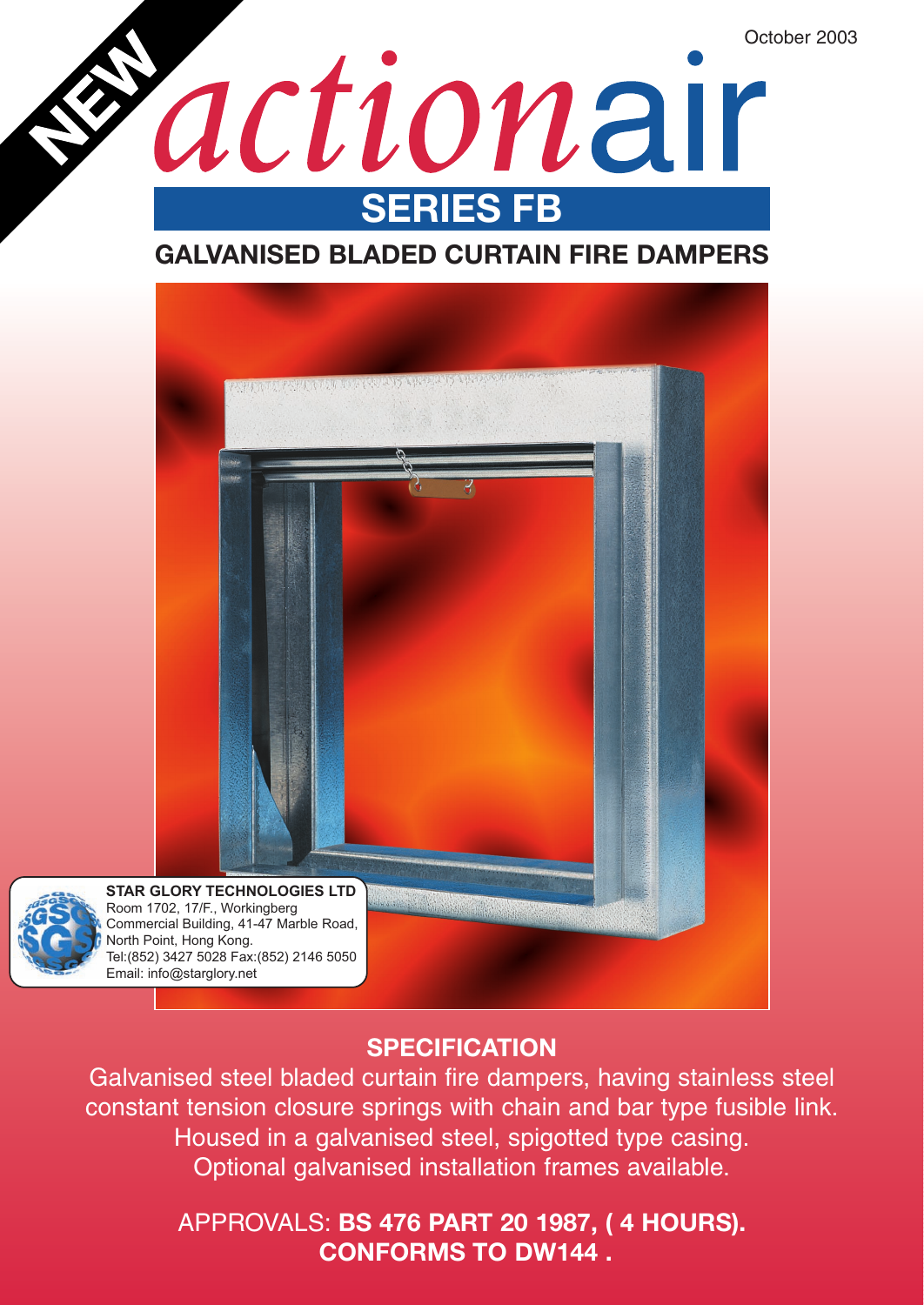October 2003

actionair **SERIES FB**

## **GALVANISED BLADED CURTAIN FIRE DAMPERS**



### **SPECIFICATION**

Galvanised steel bladed curtain fire dampers, having stainless steel constant tension closure springs with chain and bar type fusible link. Housed in a galvanised steel, spigotted type casing. Optional galvanised installation frames available.

### APPROVALS: **BS 476 PART 20 1987, ( 4 HOURS). CONFORMS TO DW144 .**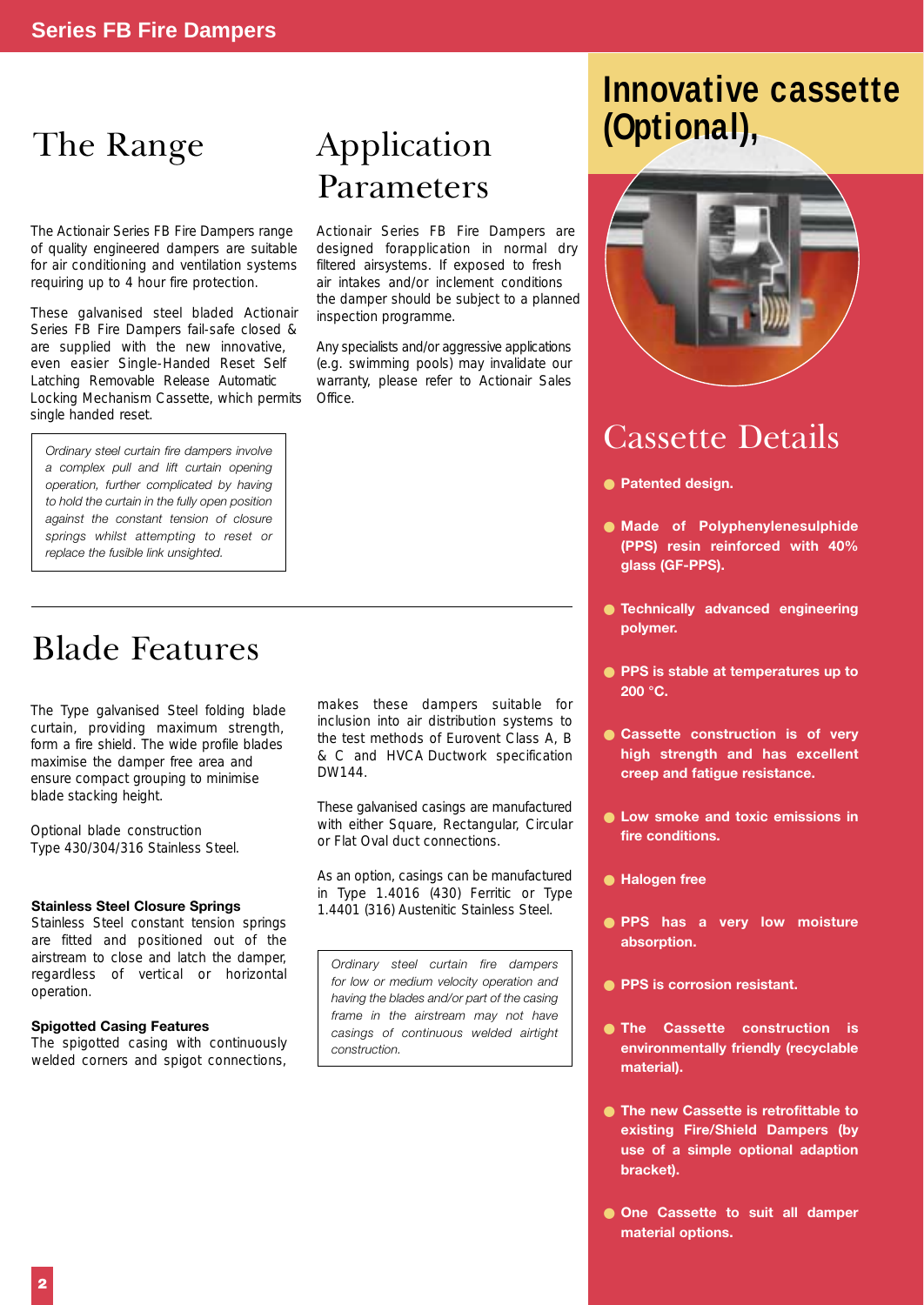# The Range **Application**

The Actionair Series FB Fire Dampers range of quality engineered dampers are suitable for air conditioning and ventilation systems requiring up to 4 hour fire protection.

These galvanised steel bladed Actionair Series FB Fire Dampers fail-safe closed & are supplied with the new innovative, even easier Single-Handed Reset Self Latching Removable Release Automatic Locking Mechanism Cassette, which permits single handed reset.

*Ordinary steel curtain fire dampers involve a complex pull and lift curtain opening operation, further complicated by having to hold the curtain in the fully open position against the constant tension of closure springs whilst attempting to reset or replace the fusible link unsighted.*

# Parameters

Actionair Series FB Fire Dampers are designed forapplication in normal dry filtered airsystems. If exposed to fresh air intakes and/or inclement conditions the damper should be subject to a planned inspection programme.

Any specialists and/or aggressive applications (e.g. swimming pools) may invalidate our warranty, please refer to Actionair Sales Office.

# (Optional), **Innovative cassette**



# Cassette Details

- **Patented design.**
- **Made of Polyphenylenesulphide (PPS) resin reinforced with 40% glass (GF-PPS).**
- **Technically advanced engineering polymer.**
- **PPS is stable at temperatures up to 200 °C.**
- **Cassette construction is of very high strength and has excellent creep and fatigue resistance.**
- **Low smoke and toxic emissions in fire conditions.**
- **Halogen free**
- **PPS has a very low moisture absorption.**
- **PPS is corrosion resistant.**
- **The Cassette construction is environmentally friendly (recyclable material).**
- **The new Cassette is retrofittable to existing Fire/Shield Dampers (by use of a simple optional adaption bracket).**
- **One Cassette to suit all damper material options.**

# Blade Features

The Type galvanised Steel folding blade curtain, providing maximum strength, form a fire shield. The wide profile blades maximise the damper free area and ensure compact grouping to minimise blade stacking height.

Optional blade construction Type 430/304/316 Stainless Steel.

### **Stainless Steel Closure Springs**

Stainless Steel constant tension springs are fitted and positioned out of the airstream to close and latch the damper, regardless of vertical or horizontal operation.

### **Spigotted Casing Features**

The spigotted casing with continuously welded corners and spigot connections, makes these dampers suitable for inclusion into air distribution systems to the test methods of Eurovent Class A, B & C and HVCA Ductwork specification DW144.

These galvanised casings are manufactured with either Square, Rectangular, Circular or Flat Oval duct connections.

As an option, casings can be manufactured in Type 1.4016 (430) Ferritic or Type 1.4401 (316) Austenitic Stainless Steel.

*Ordinary steel curtain fire dampers for low or medium velocity operation and having the blades and/or part of the casing frame in the airstream may not have casings of continuous welded airtight construction.*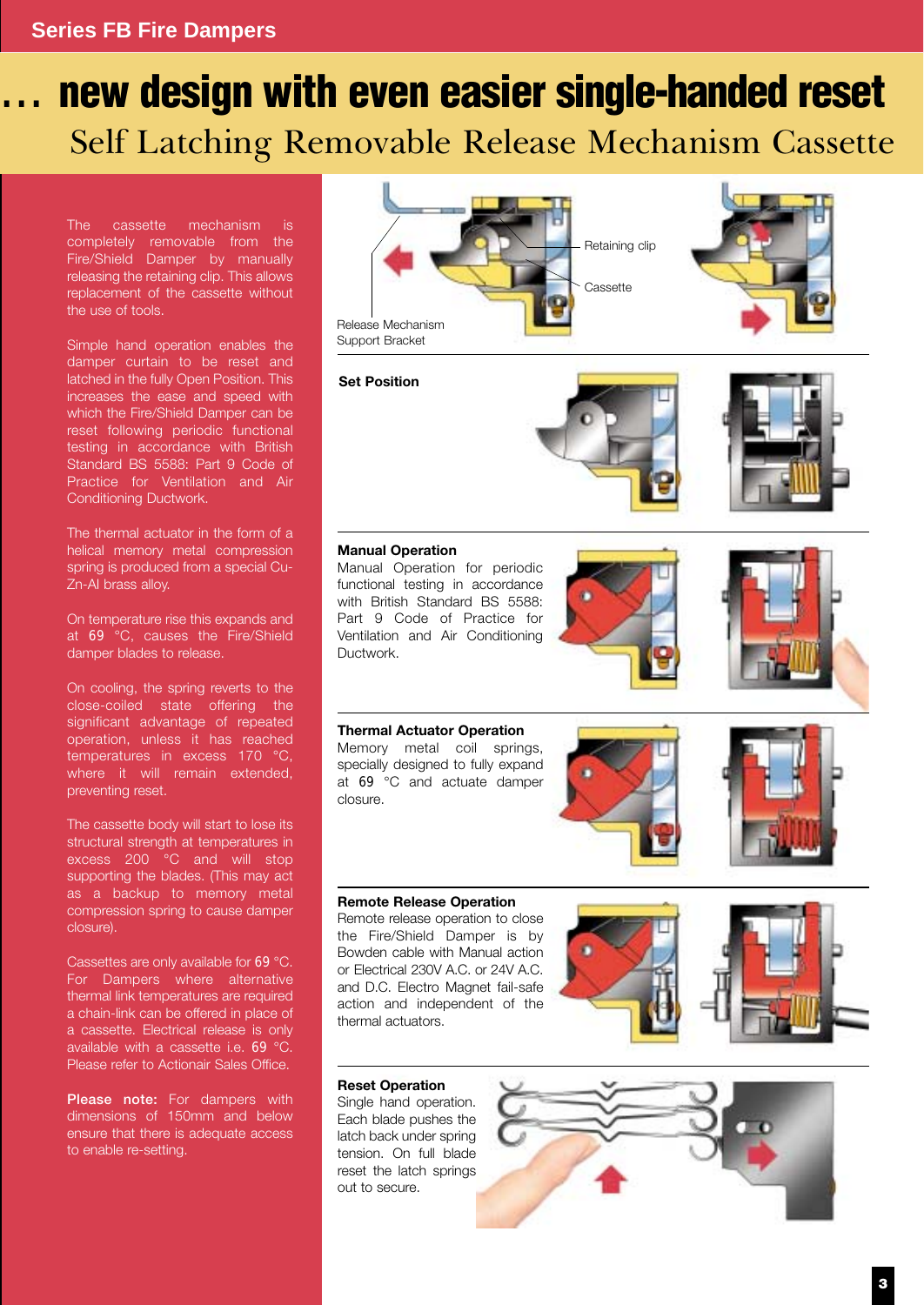# Self Latching Removable Release Mechanism Cassette **... new design with even easier single-handed reset**

The cassette mechanism completely removable from the Fire/Shield Damper by manually releasing the retaining clip. This allows replacement of the cassette without the use of tools.

Simple hand operation enables the damper curtain to be reset and latched in the fully Open Position. This increases the ease and speed with which the Fire/Shield Damper can be reset following periodic functional testing in accordance with British Standard BS 5588: Part 9 Code of Practice for Ventilation and Air Conditioning Ductwork.

The thermal actuator in the form of a helical memory metal compression spring is produced from a special Cu-Zn-AI brass alloy.

On temperature rise this expands and at 69 °C, causes the Fire/Shield damper blades to release.

On cooling, the spring reverts to the close-coiled state offering the significant advantage of repeated operation, unless it has reached temperatures in excess 170 °C, where it will remain extended, preventing reset.

The cassette body will start to lose its structural strength at temperatures in excess 200 °C and will stop supporting the blades. (This may act as a backup to memory metal compression spring to cause damper closure).

Cassettes are only available for 69 °C. For Dampers where alternative thermal link temperatures are required a chain-link can be offered in place of a cassette. Electrical release is only available with a cassette i.e. 69 °C. Please refer to Actionair Sales Office.

**Please note:** For dampers with dimensions of 150mm and below ensure that there is adequate access to enable re-setting.







### **Manual Operation**

Manual Operation for periodic functional testing in accordance with British Standard BS 5588: Part 9 Code of Practice for Ventilation and Air Conditioning Ductwork.





**Thermal Actuator Operation** Memory metal coil springs, specially designed to fully expand at 69 °C and actuate damper closure.



Remote release operation to close the Fire/Shield Damper is by Bowden cable with Manual action or Electrical 230V A.C. or 24V A.C. and D.C. Electro Magnet fail-safe action and independent of the thermal actuators.





### **Reset Operation**

Single hand operation. Each blade pushes the latch back under spring tension. On full blade reset the latch springs out to secure.